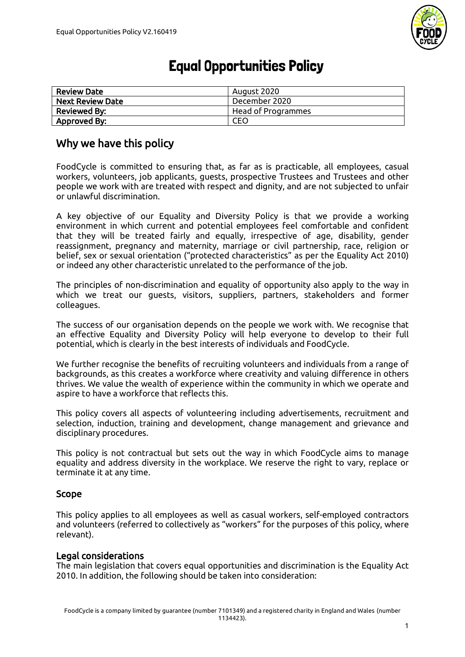

# Equal Opportunities Policy

| <b>Review Date</b>      | August 2020        |
|-------------------------|--------------------|
| <b>Next Review Date</b> | December 2020      |
| <b>Reviewed By:</b>     | Head of Programmes |
| Approved By:            | CEO                |

# Why we have this policy

FoodCycle is committed to ensuring that, as far as is practicable, all employees, casual workers, volunteers, job applicants, guests, prospective Trustees and Trustees and other people we work with are treated with respect and dignity, and are not subjected to unfair or unlawful discrimination.

A key objective of our Equality and Diversity Policy is that we provide a working environment in which current and potential employees feel comfortable and confident that they will be treated fairly and equally, irrespective of age, disability, gender reassignment, pregnancy and maternity, marriage or civil partnership, race, religion or belief, sex or sexual orientation ("protected characteristics" as per the Equality Act 2010) or indeed any other characteristic unrelated to the performance of the job.

The principles of non-discrimination and equality of opportunity also apply to the way in which we treat our guests, visitors, suppliers, partners, stakeholders and former colleagues.

The success of our organisation depends on the people we work with. We recognise that an effective Equality and Diversity Policy will help everyone to develop to their full potential, which is clearly in the best interests of individuals and FoodCycle.

We further recognise the benefits of recruiting volunteers and individuals from a range of backgrounds, as this creates a workforce where creativity and valuing difference in others thrives. We value the wealth of experience within the community in which we operate and aspire to have a workforce that reflects this.

This policy covers all aspects of volunteering including advertisements, recruitment and selection, induction, training and development, change management and grievance and disciplinary procedures.

This policy is not contractual but sets out the way in which FoodCycle aims to manage equality and address diversity in the workplace. We reserve the right to vary, replace or terminate it at any time.

### Scope

This policy applies to all employees as well as casual workers, self-employed contractors and volunteers (referred to collectively as "workers" for the purposes of this policy, where relevant).

#### Legal considerations

The main legislation that covers equal opportunities and discrimination is the Equality Act 2010. In addition, the following should be taken into consideration: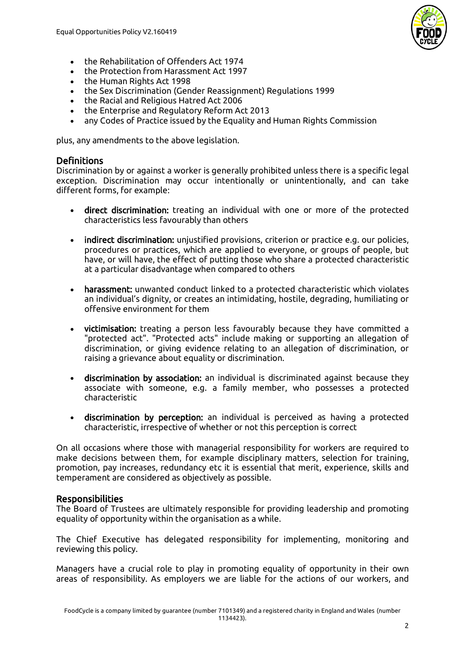

- the Rehabilitation of Offenders Act 1974
- the Protection from Harassment Act 1997
- the Human Rights Act 1998
- the Sex Discrimination (Gender Reassignment) Regulations 1999<br>• the Racial and Religious Hatred Act 2006
- the Racial and Religious Hatred Act 2006
- the Enterprise and Regulatory Reform Act 2013
- any Codes of Practice issued by the Equality and Human Rights Commission

plus, any amendments to the above legislation.

#### **Definitions**

Discrimination by or against a worker is generally prohibited unless there is a specific legal exception. Discrimination may occur intentionally or unintentionally, and can take different forms, for example:

- direct discrimination: treating an individual with one or more of the protected characteristics less favourably than others
- indirect discrimination: unjustified provisions, criterion or practice e.g. our policies, procedures or practices, which are applied to everyone, or groups of people, but have, or will have, the effect of putting those who share a protected characteristic at a particular disadvantage when compared to others
- harassment: unwanted conduct linked to a protected characteristic which violates an individual's dignity, or creates an intimidating, hostile, degrading, humiliating or offensive environment for them
- victimisation: treating a person less favourably because they have committed a "protected act". "Protected acts" include making or supporting an allegation of discrimination, or giving evidence relating to an allegation of discrimination, or raising a grievance about equality or discrimination.
- discrimination by association: an individual is discriminated against because they associate with someone, e.g. a family member, who possesses a protected characteristic
- discrimination by perception: an individual is perceived as having a protected characteristic, irrespective of whether or not this perception is correct

On all occasions where those with managerial responsibility for workers are required to make decisions between them, for example disciplinary matters, selection for training, promotion, pay increases, redundancy etc it is essential that merit, experience, skills and temperament are considered as objectively as possible.

#### Responsibilities

The Board of Trustees are ultimately responsible for providing leadership and promoting equality of opportunity within the organisation as a while.

The Chief Executive has delegated responsibility for implementing, monitoring and reviewing this policy.

Managers have a crucial role to play in promoting equality of opportunity in their own areas of responsibility. As employers we are liable for the actions of our workers, and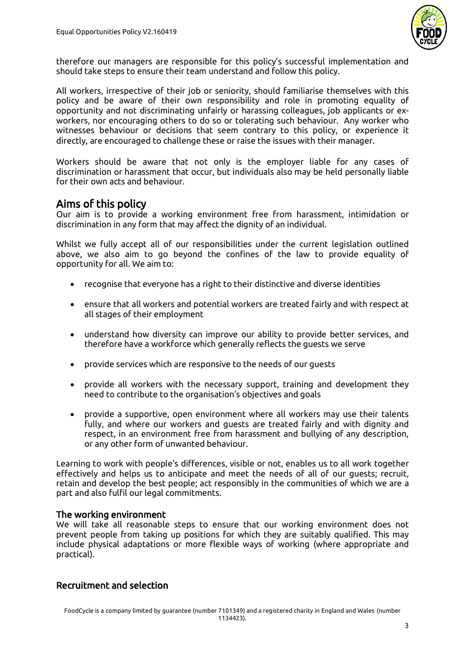

therefore our managers are responsible for this policy's successful implementation and should take steps to ensure their team understand and follow this policy.

All workers, irrespective of their job or seniority, should familiarise themselves with this policy and be aware of their own responsibility and role in promoting equality of opportunity and not discriminating unfairly or harassing colleagues, job applicants or exworkers, nor encouraging others to do so or tolerating such behaviour. Any worker who witnesses behaviour or decisions that seem contrary to this policy, or experience it directly, are encouraged to challenge these or raise the issues with their manager.

Workers should be aware that not only is the employer liable for any cases of discrimination or harassment that occur, but individuals also may be held personally liable for their own acts and behaviour.

## Aims of this policy

Our aim is to provide a working environment free from harassment, intimidation or discrimination in any form that may affect the dignity of an individual.

Whilst we fully accept all of our responsibilities under the current legislation outlined above, we also aim to go beyond the confines of the law to provide equality of opportunity for all. We aim to:

- recognise that everyone has a right to their distinctive and diverse identities
- ensure that all workers and potential workers are treated fairly and with respect at all stages of their employment
- understand how diversity can improve our ability to provide better services, and therefore have a workforce which generally reflects the guests we serve
- provide services which are responsive to the needs of our guests
- provide all workers with the necessary support, training and development they need to contribute to the organisation's objectives and goals
- provide a supportive, open environment where all workers may use their talents fully, and where our workers and guests are treated fairly and with dignity and respect, in an environment free from harassment and bullying of any description, or any other form of unwanted behaviour.

Learning to work with people's differences, visible or not, enables us to all work together effectively and helps us to anticipate and meet the needs of all of our guests; recruit, retain and develop the best people; act responsibly in the communities of which we are a part and also fulfil our legal commitments.

#### The working environment

We will take all reasonable steps to ensure that our working environment does not prevent people from taking up positions for which they are suitably qualified. This may include physical adaptations or more flexible ways of working (where appropriate and practical).

#### Recruitment and selection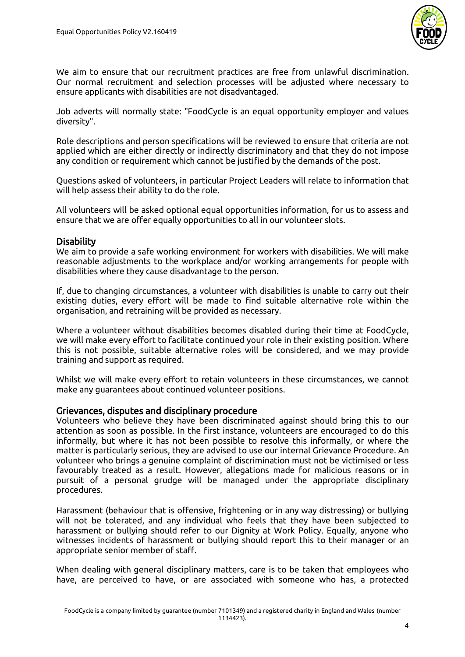

We aim to ensure that our recruitment practices are free from unlawful discrimination. Our normal recruitment and selection processes will be adjusted where necessary to ensure applicants with disabilities are not disadvantaged.

Job adverts will normally state: "FoodCycle is an equal opportunity employer and values diversity".

Role descriptions and person specifications will be reviewed to ensure that criteria are not applied which are either directly or indirectly discriminatory and that they do not impose any condition or requirement which cannot be justified by the demands of the post.

Questions asked of volunteers, in particular Project Leaders will relate to information that will help assess their ability to do the role.

All volunteers will be asked optional equal opportunities information, for us to assess and ensure that we are offer equally opportunities to all in our volunteer slots.

#### **Disability**

We aim to provide a safe working environment for workers with disabilities. We will make reasonable adjustments to the workplace and/or working arrangements for people with disabilities where they cause disadvantage to the person.

If, due to changing circumstances, a volunteer with disabilities is unable to carry out their existing duties, every effort will be made to find suitable alternative role within the organisation, and retraining will be provided as necessary.

Where a volunteer without disabilities becomes disabled during their time at FoodCycle, we will make every effort to facilitate continued your role in their existing position. Where this is not possible, suitable alternative roles will be considered, and we may provide training and support as required.

Whilst we will make every effort to retain volunteers in these circumstances, we cannot make any guarantees about continued volunteer positions.

#### Grievances, disputes and disciplinary procedure

Volunteers who believe they have been discriminated against should bring this to our attention as soon as possible. In the first instance, volunteers are encouraged to do this informally, but where it has not been possible to resolve this informally, or where the matter is particularly serious, they are advised to use our internal Grievance Procedure. An volunteer who brings a genuine complaint of discrimination must not be victimised or less favourably treated as a result. However, allegations made for malicious reasons or in pursuit of a personal grudge will be managed under the appropriate disciplinary procedures.

Harassment (behaviour that is offensive, frightening or in any way distressing) or bullying will not be tolerated, and any individual who feels that they have been subjected to harassment or bullying should refer to our Dignity at Work Policy. Equally, anyone who witnesses incidents of harassment or bullying should report this to their manager or an appropriate senior member of staff.

When dealing with general disciplinary matters, care is to be taken that employees who have, are perceived to have, or are associated with someone who has, a protected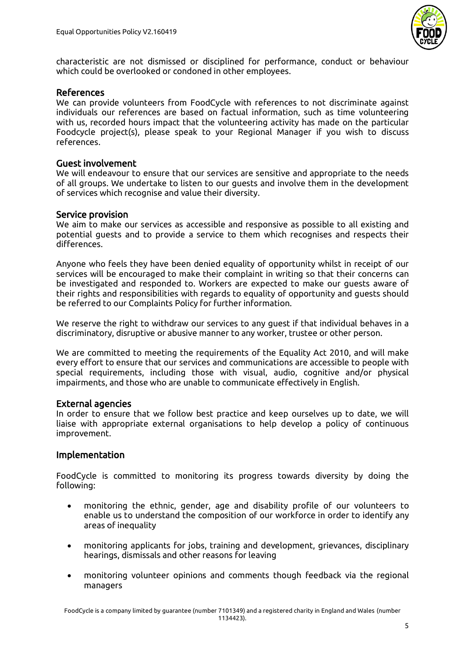

characteristic are not dismissed or disciplined for performance, conduct or behaviour which could be overlooked or condoned in other employees.

#### References

We can provide volunteers from FoodCycle with references to not discriminate against individuals our references are based on factual information, such as time volunteering with us, recorded hours impact that the volunteering activity has made on the particular Foodcycle project(s), please speak to your Regional Manager if you wish to discuss references.

#### Guest involvement

We will endeavour to ensure that our services are sensitive and appropriate to the needs of all groups. We undertake to listen to our guests and involve them in the development of services which recognise and value their diversity.

#### Service provision

We aim to make our services as accessible and responsive as possible to all existing and potential guests and to provide a service to them which recognises and respects their differences.

Anyone who feels they have been denied equality of opportunity whilst in receipt of our services will be encouraged to make their complaint in writing so that their concerns can be investigated and responded to. Workers are expected to make our guests aware of their rights and responsibilities with regards to equality of opportunity and guests should be referred to our Complaints Policy for further information.

We reserve the right to withdraw our services to any guest if that individual behaves in a discriminatory, disruptive or abusive manner to any worker, trustee or other person.

We are committed to meeting the requirements of the Equality Act 2010, and will make every effort to ensure that our services and communications are accessible to people with special requirements, including those with visual, audio, cognitive and/or physical impairments, and those who are unable to communicate effectively in English.

#### External agencies

In order to ensure that we follow best practice and keep ourselves up to date, we will liaise with appropriate external organisations to help develop a policy of continuous improvement.

#### Implementation

FoodCycle is committed to monitoring its progress towards diversity by doing the following:

- monitoring the ethnic, gender, age and disability profile of our volunteers to enable us to understand the composition of our workforce in order to identify any areas of inequality
- monitoring applicants for jobs, training and development, grievances, disciplinary hearings, dismissals and other reasons for leaving
- monitoring volunteer opinions and comments though feedback via the regional managers